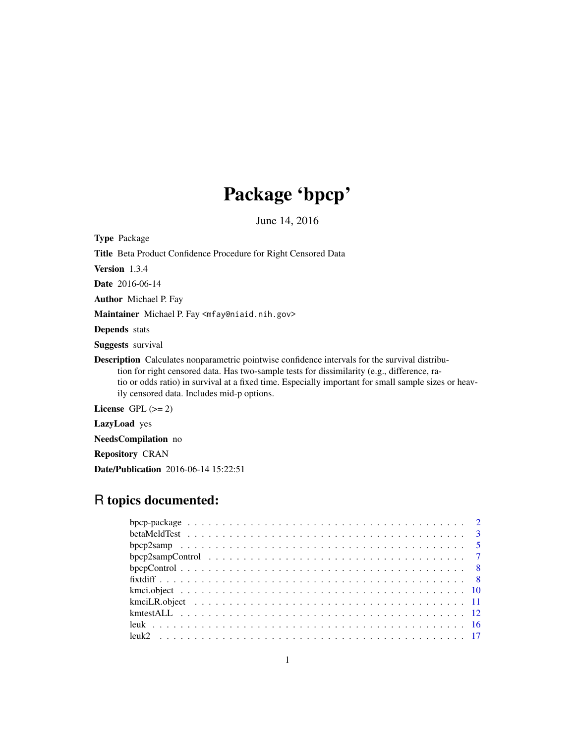# Package 'bpcp'

June 14, 2016

Type Package Title Beta Product Confidence Procedure for Right Censored Data Version 1.3.4 Date 2016-06-14 Author Michael P. Fay Maintainer Michael P. Fay <mfay@niaid.nih.gov> Depends stats Suggests survival Description Calculates nonparametric pointwise confidence intervals for the survival distribution for right censored data. Has two-sample tests for dissimilarity (e.g., difference, ratio or odds ratio) in survival at a fixed time. Especially important for small sample sizes or heavily censored data. Includes mid-p options. License GPL  $(>= 2)$ 

LazyLoad yes

NeedsCompilation no

Repository CRAN

Date/Publication 2016-06-14 15:22:51

# R topics documented: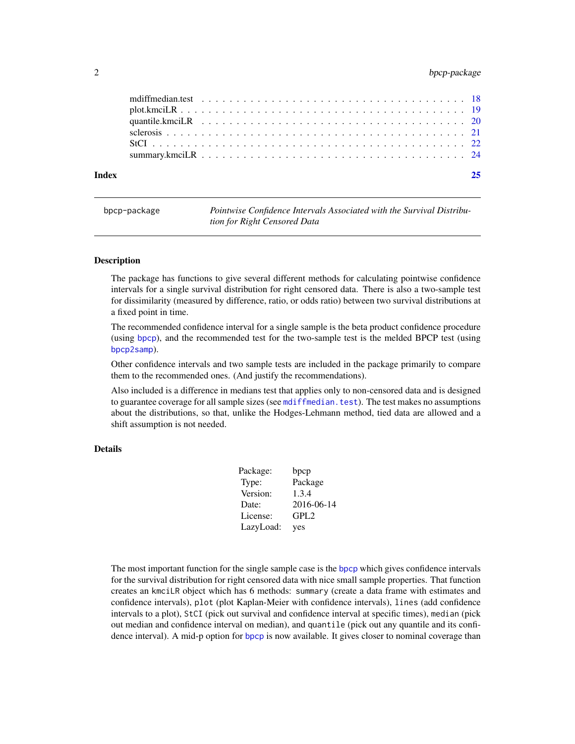# <span id="page-1-0"></span>2 bpcp-package

| Index |  |
|-------|--|
|       |  |
|       |  |
|       |  |
|       |  |
|       |  |
|       |  |

bpcp-package *Pointwise Confidence Intervals Associated with the Survival Distribution for Right Censored Data*

#### Description

The package has functions to give several different methods for calculating pointwise confidence intervals for a single survival distribution for right censored data. There is also a two-sample test for dissimilarity (measured by difference, ratio, or odds ratio) between two survival distributions at a fixed point in time.

The recommended confidence interval for a single sample is the beta product confidence procedure (using [bpcp](#page-11-1)), and the recommended test for the two-sample test is the melded BPCP test (using [bpcp2samp](#page-4-1)).

Other confidence intervals and two sample tests are included in the package primarily to compare them to the recommended ones. (And justify the recommendations).

Also included is a difference in medians test that applies only to non-censored data and is designed to guarantee coverage for all sample sizes (see [mdiffmedian.test](#page-17-1)). The test makes no assumptions about the distributions, so that, unlike the Hodges-Lehmann method, tied data are allowed and a shift assumption is not needed.

# Details

| Package:  | bpcp             |
|-----------|------------------|
| Type:     | Package          |
| Version:  | 1.3.4            |
| Date:     | 2016-06-14       |
| License:  | GPL <sub>2</sub> |
| LazyLoad: | yes              |

The most important function for the single sample case is the [bpcp](#page-11-1) which gives confidence intervals for the survival distribution for right censored data with nice small sample properties. That function creates an kmciLR object which has 6 methods: summary (create a data frame with estimates and confidence intervals), plot (plot Kaplan-Meier with confidence intervals), lines (add confidence intervals to a plot), StCI (pick out survival and confidence interval at specific times), median (pick out median and confidence interval on median), and quantile (pick out any quantile and its confidence interval). A mid-p option for [bpcp](#page-11-1) is now available. It gives closer to nominal coverage than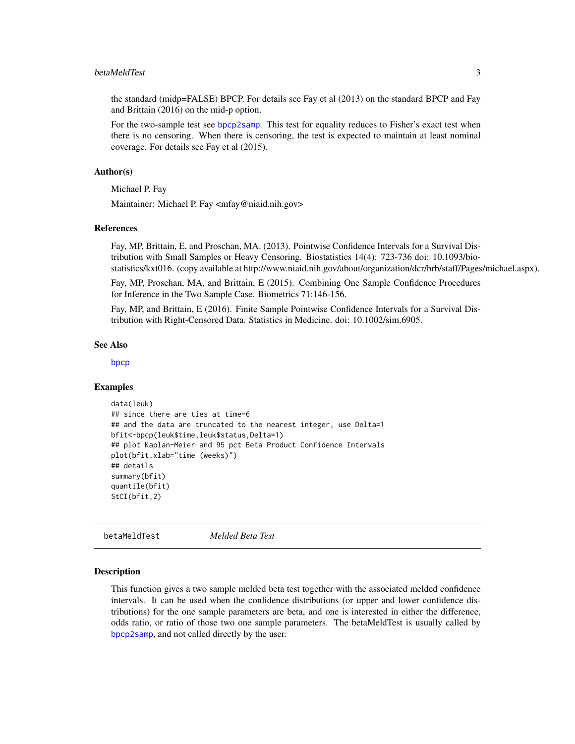#### <span id="page-2-0"></span>betaMeldTest 3

the standard (midp=FALSE) BPCP. For details see Fay et al (2013) on the standard BPCP and Fay and Brittain (2016) on the mid-p option.

For the two-sample test see [bpcp2samp](#page-4-1). This test for equality reduces to Fisher's exact test when there is no censoring. When there is censoring, the test is expected to maintain at least nominal coverage. For details see Fay et al (2015).

#### Author(s)

Michael P. Fay

Maintainer: Michael P. Fay <mfay@niaid.nih.gov>

#### References

Fay, MP, Brittain, E, and Proschan, MA. (2013). Pointwise Confidence Intervals for a Survival Distribution with Small Samples or Heavy Censoring. Biostatistics 14(4): 723-736 doi: 10.1093/biostatistics/kxt016. (copy available at http://www.niaid.nih.gov/about/organization/dcr/brb/staff/Pages/michael.aspx).

Fay, MP, Proschan, MA, and Brittain, E (2015). Combining One Sample Confidence Procedures for Inference in the Two Sample Case. Biometrics 71:146-156.

Fay, MP, and Brittain, E (2016). Finite Sample Pointwise Confidence Intervals for a Survival Distribution with Right-Censored Data. Statistics in Medicine. doi: 10.1002/sim.6905.

#### See Also

[bpcp](#page-11-1)

#### Examples

```
data(leuk)
## since there are ties at time=6
## and the data are truncated to the nearest integer, use Delta=1
bfit<-bpcp(leuk$time,leuk$status,Delta=1)
## plot Kaplan-Meier and 95 pct Beta Product Confidence Intervals
plot(bfit,xlab="time (weeks)")
## details
summary(bfit)
quantile(bfit)
StCI(bfit,2)
```
betaMeldTest *Melded Beta Test*

#### Description

This function gives a two sample melded beta test together with the associated melded confidence intervals. It can be used when the confidence distributions (or upper and lower confidence distributions) for the one sample parameters are beta, and one is interested in either the difference, odds ratio, or ratio of those two one sample parameters. The betaMeldTest is usually called by [bpcp2samp](#page-4-1), and not called directly by the user.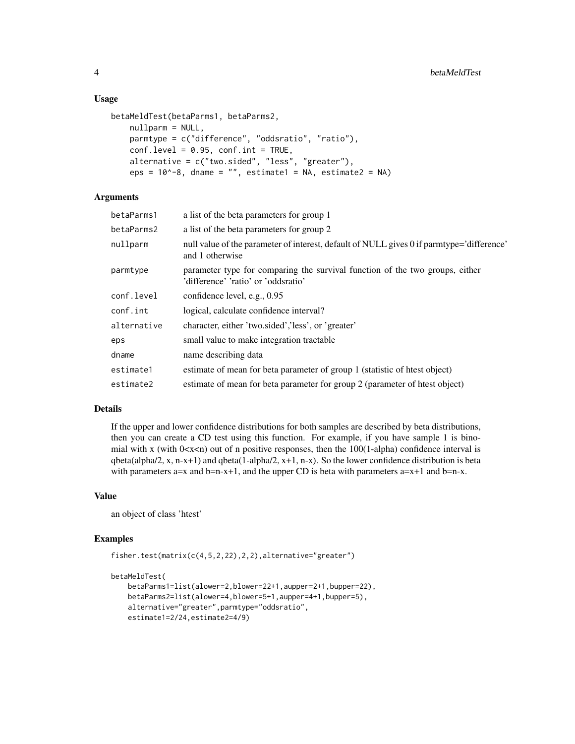#### Usage

```
betaMeldTest(betaParms1, betaParms2,
   nullparm = NULL,
    parmtype = c("difference", "oddsratio", "ratio"),
    conf. level = 0.95, conf.int = TRUE,alternative = c("two.sided", "less", "greater"),
    eps = 10^{\circ}-8, dname = "", estimate1 = NA, estimate2 = NA)
```
# Arguments

| betaParms1  | a list of the beta parameters for group 1                                                                           |
|-------------|---------------------------------------------------------------------------------------------------------------------|
| betaParms2  | a list of the beta parameters for group 2                                                                           |
| nullparm    | null value of the parameter of interest, default of NULL gives 0 if parmtype='difference'<br>and 1 otherwise        |
| parmtype    | parameter type for comparing the survival function of the two groups, either<br>'difference' 'ratio' or 'oddsratio' |
| conf.level  | confidence level, e.g., 0.95                                                                                        |
| conf.int    | logical, calculate confidence interval?                                                                             |
| alternative | character, either 'two.sided','less', or 'greater'                                                                  |
| eps         | small value to make integration tractable                                                                           |
| dname       | name describing data                                                                                                |
| estimate1   | estimate of mean for beta parameter of group 1 (statistic of htest object)                                          |
| estimate2   | estimate of mean for beta parameter for group 2 (parameter of htest object)                                         |

#### Details

If the upper and lower confidence distributions for both samples are described by beta distributions, then you can create a CD test using this function. For example, if you have sample 1 is binomial with x (with  $0 < x < n$ ) out of n positive responses, then the 100(1-alpha) confidence interval is qbeta(alpha/2, x, n-x+1) and qbeta(1-alpha/2, x+1, n-x). So the lower confidence distribution is beta with parameters a=x and b=n-x+1, and the upper CD is beta with parameters  $a=x+1$  and  $b=n-x$ .

# Value

an object of class 'htest'

#### Examples

```
fisher.test(matrix(c(4,5,2,22),2,2),alternative="greater")
```

```
betaMeldTest(
   betaParms1=list(alower=2,blower=22+1,aupper=2+1,bupper=22),
   betaParms2=list(alower=4,blower=5+1,aupper=4+1,bupper=5),
   alternative="greater",parmtype="oddsratio",
   estimate1=2/24,estimate2=4/9)
```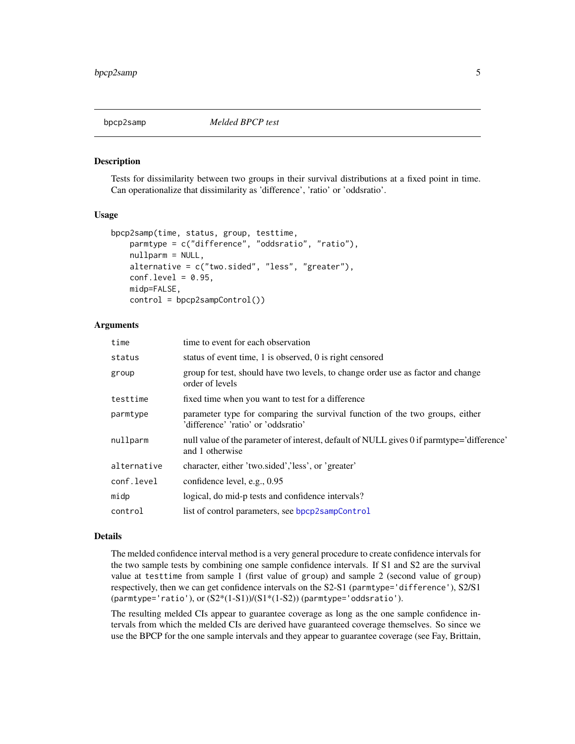<span id="page-4-1"></span><span id="page-4-0"></span>

Tests for dissimilarity between two groups in their survival distributions at a fixed point in time. Can operationalize that dissimilarity as 'difference', 'ratio' or 'oddsratio'.

#### Usage

```
bpcp2samp(time, status, group, testtime,
    parmtype = c("difference", "oddsratio", "ratio"),
    nullparm = NULL,
    alternative = c("two(sided", "less", "greater"),conf. level = 0.95,
    midp=FALSE,
    control = bpcp2sampControl())
```
# Arguments

| time        | time to event for each observation                                                                                  |
|-------------|---------------------------------------------------------------------------------------------------------------------|
| status      | status of event time, 1 is observed, 0 is right censored                                                            |
| group       | group for test, should have two levels, to change order use as factor and change<br>order of levels                 |
| testtime    | fixed time when you want to test for a difference                                                                   |
| parmtype    | parameter type for comparing the survival function of the two groups, either<br>'difference' 'ratio' or 'oddsratio' |
| nullparm    | null value of the parameter of interest, default of NULL gives 0 if parmtype='difference'<br>and 1 otherwise        |
| alternative | character, either 'two.sided','less', or 'greater'                                                                  |
| conf.level  | confidence level, e.g., 0.95                                                                                        |
| midp        | logical, do mid-p tests and confidence intervals?                                                                   |
| control     | list of control parameters, see bpcp2sampControl                                                                    |
|             |                                                                                                                     |

#### Details

The melded confidence interval method is a very general procedure to create confidence intervals for the two sample tests by combining one sample confidence intervals. If S1 and S2 are the survival value at testtime from sample 1 (first value of group) and sample 2 (second value of group) respectively, then we can get confidence intervals on the S2-S1 (parmtype='difference'), S2/S1 (parmtype='ratio'), or  $(S2*(1-S1))/(S1*(1-S2))$  (parmtype='oddsratio').

The resulting melded CIs appear to guarantee coverage as long as the one sample confidence intervals from which the melded CIs are derived have guaranteed coverage themselves. So since we use the BPCP for the one sample intervals and they appear to guarantee coverage (see Fay, Brittain,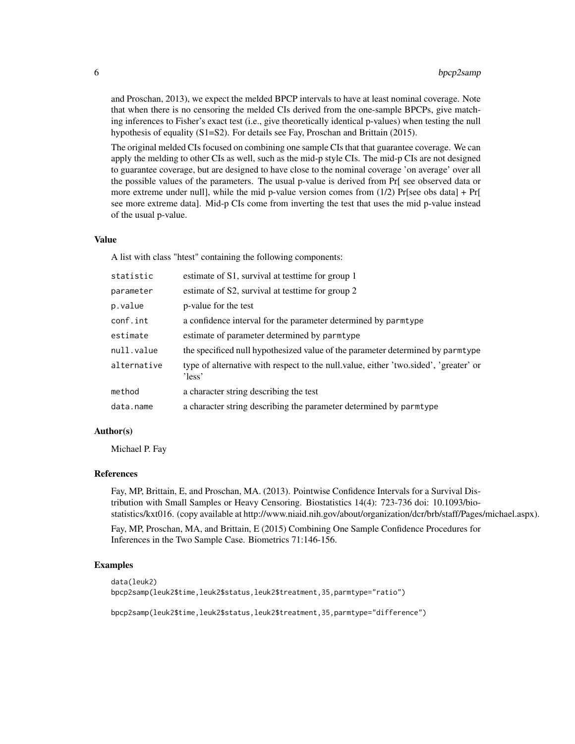and Proschan, 2013), we expect the melded BPCP intervals to have at least nominal coverage. Note that when there is no censoring the melded CIs derived from the one-sample BPCPs, give matching inferences to Fisher's exact test (i.e., give theoretically identical p-values) when testing the null hypothesis of equality (S1=S2). For details see Fay, Proschan and Brittain (2015).

The original melded CIs focused on combining one sample CIs that that guarantee coverage. We can apply the melding to other CIs as well, such as the mid-p style CIs. The mid-p CIs are not designed to guarantee coverage, but are designed to have close to the nominal coverage 'on average' over all the possible values of the parameters. The usual p-value is derived from Pr[ see observed data or more extreme under null], while the mid p-value version comes from  $(1/2)$  Pr[see obs data] + Pr[ see more extreme data]. Mid-p CIs come from inverting the test that uses the mid p-value instead of the usual p-value.

# Value

A list with class "htest" containing the following components:

| statistic   | estimate of S1, survival at test time for group 1                                              |
|-------------|------------------------------------------------------------------------------------------------|
| parameter   | estimate of S2, survival at test time for group 2                                              |
| p.value     | p-value for the test                                                                           |
| conf.int    | a confidence interval for the parameter determined by parmtype                                 |
| estimate    | estimate of parameter determined by parmtype                                                   |
| null.value  | the specificed null hypothesized value of the parameter determined by parmtype                 |
| alternative | type of alternative with respect to the null value, either 'two sided', 'greater' or<br>'less' |
| method      | a character string describing the test                                                         |
| data.name   | a character string describing the parameter determined by parmtype                             |

### Author(s)

Michael P. Fay

#### References

Fay, MP, Brittain, E, and Proschan, MA. (2013). Pointwise Confidence Intervals for a Survival Distribution with Small Samples or Heavy Censoring. Biostatistics 14(4): 723-736 doi: 10.1093/biostatistics/kxt016. (copy available at http://www.niaid.nih.gov/about/organization/dcr/brb/staff/Pages/michael.aspx).

Fay, MP, Proschan, MA, and Brittain, E (2015) Combining One Sample Confidence Procedures for Inferences in the Two Sample Case. Biometrics 71:146-156.

#### Examples

```
data(leuk2)
bpcp2samp(leuk2$time,leuk2$status,leuk2$treatment,35,parmtype="ratio")
```
bpcp2samp(leuk2\$time,leuk2\$status,leuk2\$treatment,35,parmtype="difference")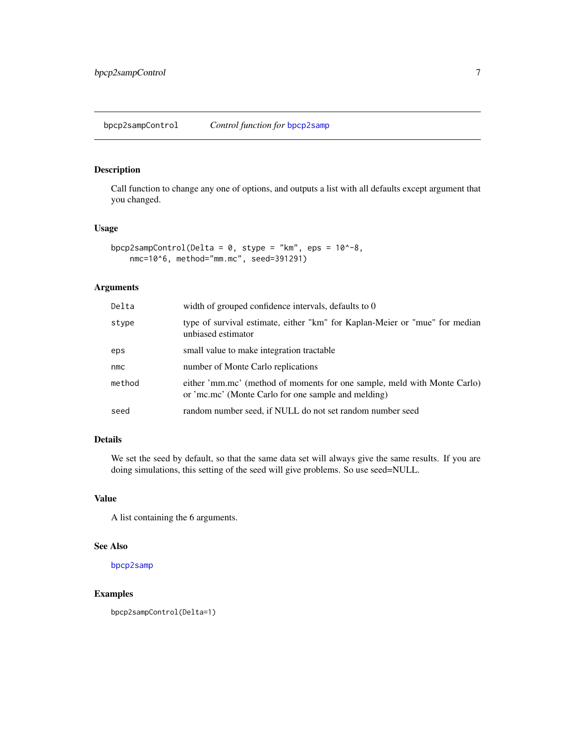<span id="page-6-1"></span><span id="page-6-0"></span>Call function to change any one of options, and outputs a list with all defaults except argument that you changed.

# Usage

```
bpcp2sampControl(Delta = 0, stype = "km", eps = 10^{\circ}-8,
    nmc=10^6, method="mm.mc", seed=391291)
```
# Arguments

| Delta  | width of grouped confidence intervals, defaults to 0                                                                            |
|--------|---------------------------------------------------------------------------------------------------------------------------------|
| stype  | type of survival estimate, either "km" for Kaplan-Meier or "mue" for median<br>unbiased estimator                               |
| eps    | small value to make integration tractable                                                                                       |
| nmc    | number of Monte Carlo replications                                                                                              |
| method | either 'mm.mc' (method of moments for one sample, meld with Monte Carlo)<br>or 'mc.mc' (Monte Carlo for one sample and melding) |
| seed   | random number seed, if NULL do not set random number seed                                                                       |

# Details

We set the seed by default, so that the same data set will always give the same results. If you are doing simulations, this setting of the seed will give problems. So use seed=NULL.

# Value

A list containing the 6 arguments.

# See Also

[bpcp2samp](#page-4-1)

# Examples

bpcp2sampControl(Delta=1)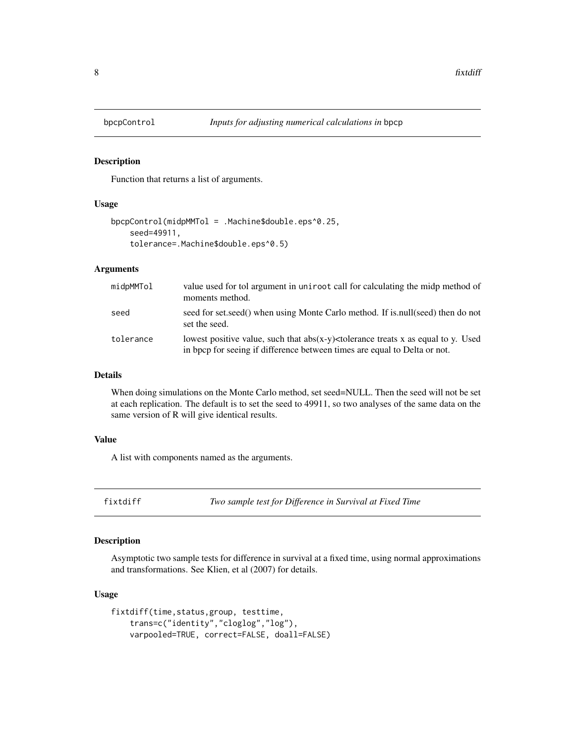Function that returns a list of arguments.

#### Usage

```
bpcpControl(midpMMTol = .Machine$double.eps^0.25,
    seed=49911,
    tolerance=.Machine$double.eps^0.5)
```
# Arguments

| midpMMTol | value used for tol argument in unit cost call for calculating the midp method of<br>moments method.                                                               |
|-----------|-------------------------------------------------------------------------------------------------------------------------------------------------------------------|
| seed      | seed for set, seed() when using Monte Carlo method. If is, null(seed) then do not<br>set the seed.                                                                |
| tolerance | lowest positive value, such that $abs(x-y)$ < tolerance treats x as equal to y. Used<br>in bpcp for seeing if difference between times are equal to Delta or not. |

#### Details

When doing simulations on the Monte Carlo method, set seed=NULL. Then the seed will not be set at each replication. The default is to set the seed to 49911, so two analyses of the same data on the same version of R will give identical results.

# Value

A list with components named as the arguments.

fixtdiff *Two sample test for Difference in Survival at Fixed Time*

# Description

Asymptotic two sample tests for difference in survival at a fixed time, using normal approximations and transformations. See Klien, et al (2007) for details.

#### Usage

```
fixtdiff(time,status,group, testtime,
   trans=c("identity","cloglog","log"),
   varpooled=TRUE, correct=FALSE, doall=FALSE)
```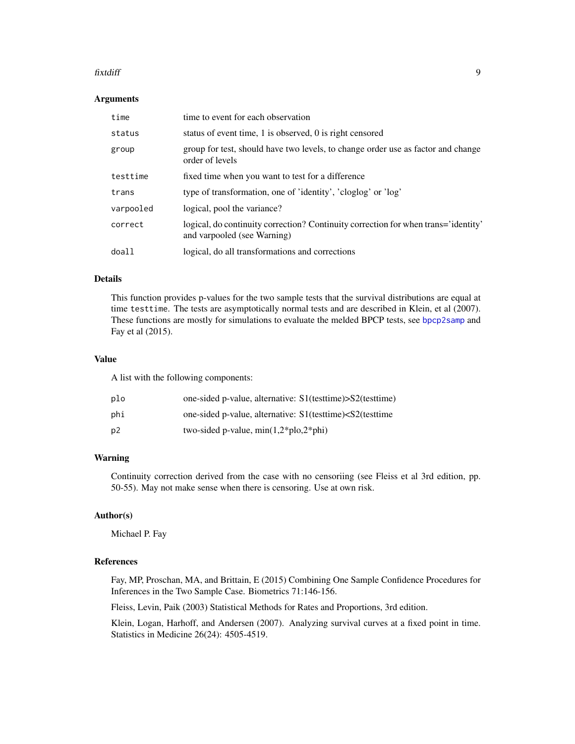#### <span id="page-8-0"></span>fixtdiff 9

#### Arguments

| time      | time to event for each observation                                                                                |
|-----------|-------------------------------------------------------------------------------------------------------------------|
| status    | status of event time, 1 is observed, 0 is right censored                                                          |
| group     | group for test, should have two levels, to change order use as factor and change<br>order of levels               |
| testtime  | fixed time when you want to test for a difference                                                                 |
| trans     | type of transformation, one of 'identity', 'cloglog' or 'log'                                                     |
| varpooled | logical, pool the variance?                                                                                       |
| correct   | logical, do continuity correction? Continuity correction for when trans='identity'<br>and varpooled (see Warning) |
| doall     | logical, do all transformations and corrections                                                                   |

#### Details

This function provides p-values for the two sample tests that the survival distributions are equal at time testtime. The tests are asymptotically normal tests and are described in Klein, et al (2007). These functions are mostly for simulations to evaluate the melded BPCP tests, see [bpcp2samp](#page-4-1) and Fay et al (2015).

#### Value

A list with the following components:

| plo | one-sided p-value, alternative: S1(testtime)>S2(testtime)                          |
|-----|------------------------------------------------------------------------------------|
| phi | one-sided p-value, alternative: S1(testtime) <s2(testtime)< td=""></s2(testtime)<> |
| p2  | two-sided p-value, $min(1,2 * p \cdot b)$                                          |

# Warning

Continuity correction derived from the case with no censoriing (see Fleiss et al 3rd edition, pp. 50-55). May not make sense when there is censoring. Use at own risk.

#### Author(s)

Michael P. Fay

# References

Fay, MP, Proschan, MA, and Brittain, E (2015) Combining One Sample Confidence Procedures for Inferences in the Two Sample Case. Biometrics 71:146-156.

Fleiss, Levin, Paik (2003) Statistical Methods for Rates and Proportions, 3rd edition.

Klein, Logan, Harhoff, and Andersen (2007). Analyzing survival curves at a fixed point in time. Statistics in Medicine 26(24): 4505-4519.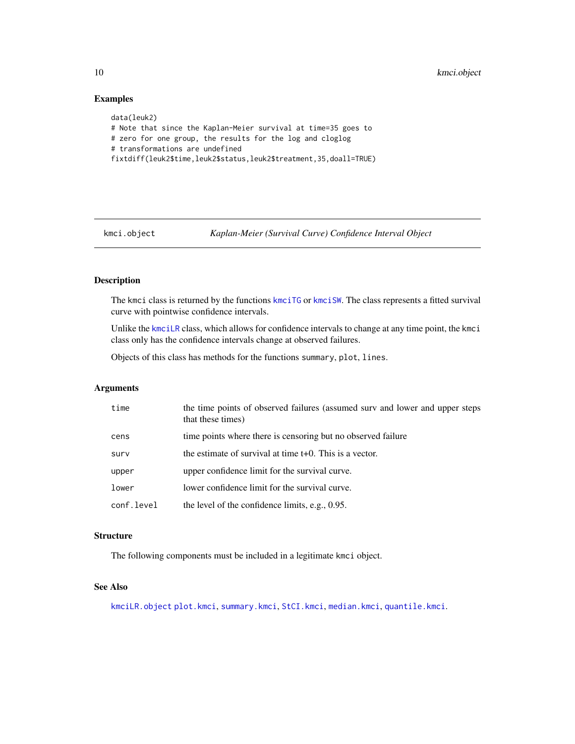# Examples

```
data(leuk2)
# Note that since the Kaplan-Meier survival at time=35 goes to
# zero for one group, the results for the log and cloglog
# transformations are undefined
fixtdiff(leuk2$time,leuk2$status,leuk2$treatment,35,doall=TRUE)
```
kmci.object *Kaplan-Meier (Survival Curve) Confidence Interval Object*

# <span id="page-9-1"></span>Description

The kmci class is returned by the functions [kmciTG](#page-11-1) or [kmciSW](#page-11-1). The class represents a fitted survival curve with pointwise confidence intervals.

Unlike the [kmciLR](#page-10-1) class, which allows for confidence intervals to change at any time point, the kmci class only has the confidence intervals change at observed failures.

Objects of this class has methods for the functions summary, plot, lines.

# Arguments

| time       | the time points of observed failures (assumed surv and lower and upper steps<br>that these times) |
|------------|---------------------------------------------------------------------------------------------------|
| cens       | time points where there is censoring but no observed failure                                      |
| surv       | the estimate of survival at time $t+0$ . This is a vector.                                        |
| upper      | upper confidence limit for the survival curve.                                                    |
| lower      | lower confidence limit for the survival curve.                                                    |
| conf.level | the level of the confidence limits, e.g., $0.95$ .                                                |

#### **Structure**

The following components must be included in a legitimate kmci object.

# See Also

[kmciLR.object](#page-10-2) [plot.kmci](#page-18-1), [summary.kmci](#page-23-1), [StCI.kmci](#page-21-1), [median.kmci](#page-19-1), [quantile.kmci](#page-19-1).

<span id="page-9-0"></span>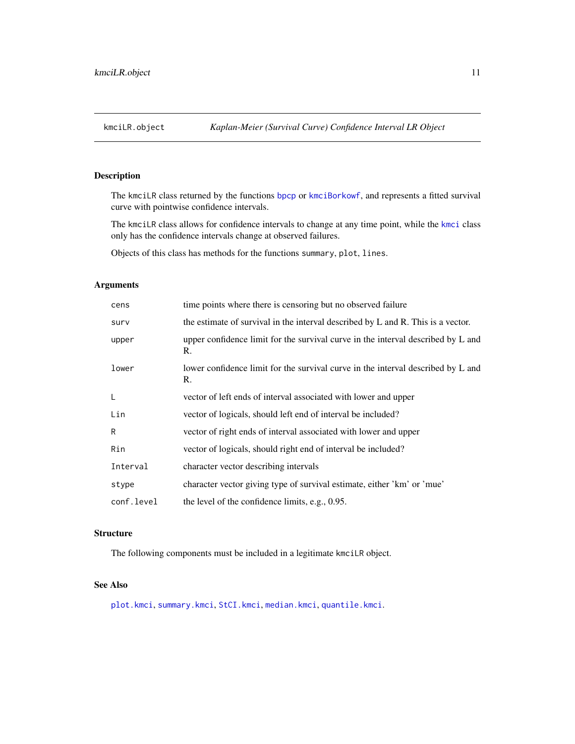<span id="page-10-2"></span><span id="page-10-1"></span><span id="page-10-0"></span>The kmciLR class returned by the functions [bpcp](#page-11-1) or [kmciBorkowf](#page-11-1), and represents a fitted survival curve with pointwise confidence intervals.

The kmciLR class allows for confidence intervals to change at any time point, while the [kmci](#page-9-1) class only has the confidence intervals change at observed failures.

Objects of this class has methods for the functions summary, plot, lines.

# Arguments

| cens       | time points where there is censoring but no observed failure                           |
|------------|----------------------------------------------------------------------------------------|
| surv       | the estimate of survival in the interval described by L and R. This is a vector.       |
| upper      | upper confidence limit for the survival curve in the interval described by L and<br>R. |
| lower      | lower confidence limit for the survival curve in the interval described by L and<br>R. |
| L          | vector of left ends of interval associated with lower and upper                        |
| Lin        | vector of logicals, should left end of interval be included?                           |
| R          | vector of right ends of interval associated with lower and upper                       |
| Rin        | vector of logicals, should right end of interval be included?                          |
| Interval   | character vector describing intervals                                                  |
| stype      | character vector giving type of survival estimate, either 'km' or 'mue'                |
| conf.level | the level of the confidence limits, e.g., 0.95.                                        |

# **Structure**

The following components must be included in a legitimate kmciLR object.

# See Also

[plot.kmci](#page-18-1), [summary.kmci](#page-23-1), [StCI.kmci](#page-21-1), [median.kmci](#page-19-1), [quantile.kmci](#page-19-1).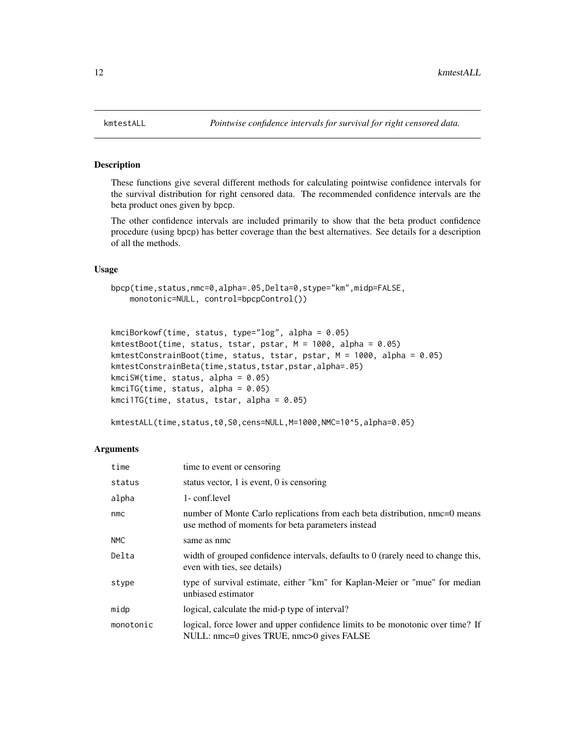These functions give several different methods for calculating pointwise confidence intervals for the survival distribution for right censored data. The recommended confidence intervals are the beta product ones given by bpcp.

The other confidence intervals are included primarily to show that the beta product confidence procedure (using bpcp) has better coverage than the best alternatives. See details for a description of all the methods.

#### Usage

```
bpcp(time,status,nmc=0,alpha=.05,Delta=0,stype="km",midp=FALSE,
   monotonic=NULL, control=bpcpControl())
```

```
kmciBorkowf(time, status, type="log", alpha = 0.05)
kmtestBoot(time, status, tstar, pstar, M = 1000, alpha = 0.05)
kmtestConstrainBoot(time, status, tstar, pstar, M = 1000, alpha = 0.05)
kmtestConstrainBeta(time,status,tstar,pstar,alpha=.05)
kmciSW(time, status, alpha = 0.05)
kmciTG(time, status, alpha = 0.05)
kmci1TG(time, status, tstar, alpha = 0.05)
```

```
kmtestALL(time,status,t0,S0,cens=NULL,M=1000,NMC=10^5,alpha=0.05)
```
#### Arguments

| time      | time to event or censoring                                                                                                       |
|-----------|----------------------------------------------------------------------------------------------------------------------------------|
| status    | status vector, 1 is event, 0 is censoring                                                                                        |
| alpha     | 1- conf.level                                                                                                                    |
| nmc       | number of Monte Carlo replications from each beta distribution, nmc=0 means<br>use method of moments for beta parameters instead |
| NMC       | same as nmc                                                                                                                      |
| Delta     | width of grouped confidence intervals, defaults to $0$ (rarely need to change this,<br>even with ties, see details)              |
| stype     | type of survival estimate, either "km" for Kaplan-Meier or "mue" for median<br>unbiased estimator                                |
| midp      | logical, calculate the mid-p type of interval?                                                                                   |
| monotonic | logical, force lower and upper confidence limits to be monotonic over time? If<br>NULL: nmc=0 gives TRUE, nmc>0 gives FALSE      |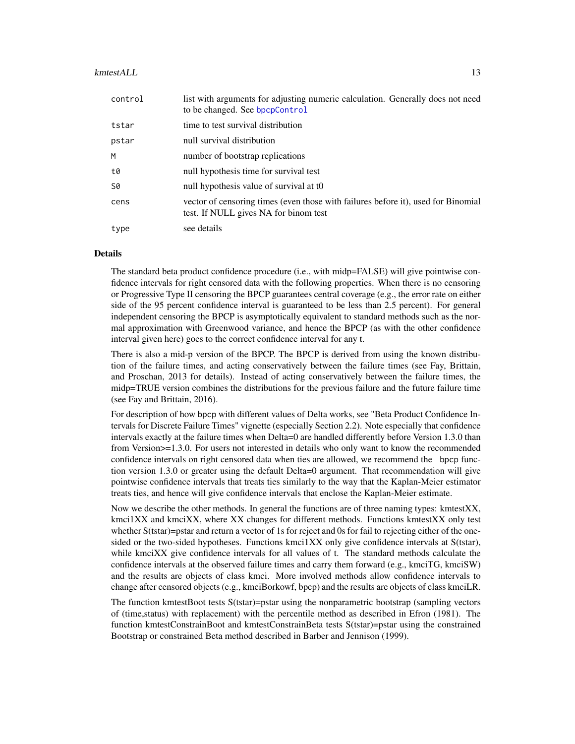#### <span id="page-12-0"></span>kmtestALL 13

| control | list with arguments for adjusting numeric calculation. Generally does not need<br>to be changed. See bpcpControl           |  |  |  |
|---------|----------------------------------------------------------------------------------------------------------------------------|--|--|--|
| tstar   | time to test survival distribution                                                                                         |  |  |  |
| pstar   | null survival distribution                                                                                                 |  |  |  |
| M       | number of bootstrap replications                                                                                           |  |  |  |
| t0      | null hypothesis time for survival test                                                                                     |  |  |  |
| S0      | null hypothesis value of survival at to                                                                                    |  |  |  |
| cens    | vector of censoring times (even those with failures before it), used for Binomial<br>test. If NULL gives NA for binom test |  |  |  |
| type    | see details                                                                                                                |  |  |  |

# Details

The standard beta product confidence procedure (i.e., with midp=FALSE) will give pointwise confidence intervals for right censored data with the following properties. When there is no censoring or Progressive Type II censoring the BPCP guarantees central coverage (e.g., the error rate on either side of the 95 percent confidence interval is guaranteed to be less than 2.5 percent). For general independent censoring the BPCP is asymptotically equivalent to standard methods such as the normal approximation with Greenwood variance, and hence the BPCP (as with the other confidence interval given here) goes to the correct confidence interval for any t.

There is also a mid-p version of the BPCP. The BPCP is derived from using the known distribution of the failure times, and acting conservatively between the failure times (see Fay, Brittain, and Proschan, 2013 for details). Instead of acting conservatively between the failure times, the midp=TRUE version combines the distributions for the previous failure and the future failure time (see Fay and Brittain, 2016).

For description of how bpcp with different values of Delta works, see "Beta Product Confidence Intervals for Discrete Failure Times" vignette (especially Section 2.2). Note especially that confidence intervals exactly at the failure times when Delta=0 are handled differently before Version 1.3.0 than from Version $\geq 1.3.0$ . For users not interested in details who only want to know the recommended confidence intervals on right censored data when ties are allowed, we recommend the bpcp function version 1.3.0 or greater using the default Delta=0 argument. That recommendation will give pointwise confidence intervals that treats ties similarly to the way that the Kaplan-Meier estimator treats ties, and hence will give confidence intervals that enclose the Kaplan-Meier estimate.

Now we describe the other methods. In general the functions are of three naming types: kmtestXX, kmci1XX and kmciXX, where XX changes for different methods. Functions kmtestXX only test whether S(tstar)=pstar and return a vector of 1s for reject and 0s for fail to rejecting either of the onesided or the two-sided hypotheses. Functions kmci1XX only give confidence intervals at S(tstar), while kmciXX give confidence intervals for all values of t. The standard methods calculate the confidence intervals at the observed failure times and carry them forward (e.g., kmciTG, kmciSW) and the results are objects of class kmci. More involved methods allow confidence intervals to change after censored objects (e.g., kmciBorkowf, bpcp) and the results are objects of class kmciLR.

The function kmtestBoot tests S(tstar)=pstar using the nonparametric bootstrap (sampling vectors of (time,status) with replacement) with the percentile method as described in Efron (1981). The function kmtestConstrainBoot and kmtestConstrainBeta tests S(tstar)=pstar using the constrained Bootstrap or constrained Beta method described in Barber and Jennison (1999).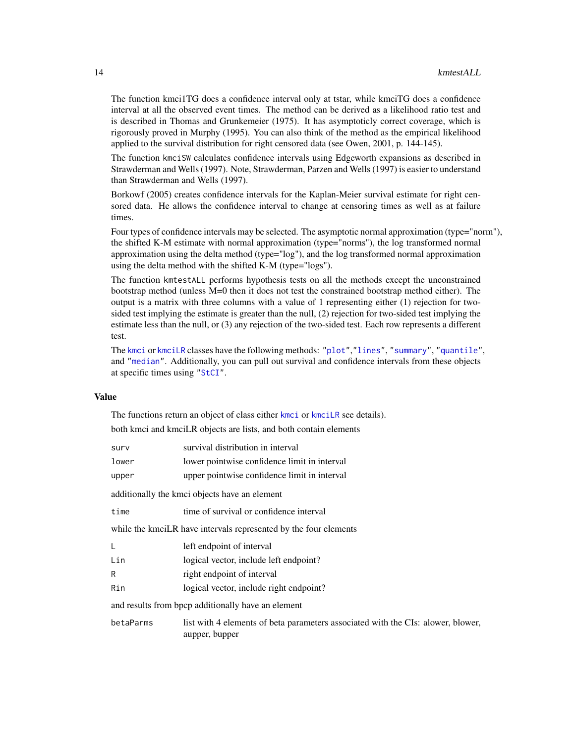<span id="page-13-0"></span>The function kmci1TG does a confidence interval only at tstar, while kmciTG does a confidence interval at all the observed event times. The method can be derived as a likelihood ratio test and is described in Thomas and Grunkemeier (1975). It has asymptoticly correct coverage, which is rigorously proved in Murphy (1995). You can also think of the method as the empirical likelihood applied to the survival distribution for right censored data (see Owen, 2001, p. 144-145).

The function kmciSW calculates confidence intervals using Edgeworth expansions as described in Strawderman and Wells (1997). Note, Strawderman, Parzen and Wells (1997) is easier to understand than Strawderman and Wells (1997).

Borkowf (2005) creates confidence intervals for the Kaplan-Meier survival estimate for right censored data. He allows the confidence interval to change at censoring times as well as at failure times.

Four types of confidence intervals may be selected. The asymptotic normal approximation (type="norm"), the shifted K-M estimate with normal approximation (type="norms"), the log transformed normal approximation using the delta method (type="log"), and the log transformed normal approximation using the delta method with the shifted K-M (type="logs").

The function kmtestALL performs hypothesis tests on all the methods except the unconstrained bootstrap method (unless M=0 then it does not test the constrained bootstrap method either). The output is a matrix with three columns with a value of 1 representing either (1) rejection for twosided test implying the estimate is greater than the null, (2) rejection for two-sided test implying the estimate less than the null, or (3) any rejection of the two-sided test. Each row represents a different test.

The [kmci](#page-9-1) or [kmciLR](#page-10-1) classes have the following methods: ["plot"](#page-18-1),["lines"](#page-18-1), ["summary"](#page-23-1), ["quantile"](#page-19-1), and ["median"](#page-19-1). Additionally, you can pull out survival and confidence intervals from these objects at specific times using ["StCI"](#page-21-1).

### Value

The functions return an object of class either [kmci](#page-9-1) or [kmciLR](#page-10-1) see details).

both kmci and kmciLR objects are lists, and both contain elements

| surv                                                               | survival distribution in interval                                                                  |  |  |  |  |
|--------------------------------------------------------------------|----------------------------------------------------------------------------------------------------|--|--|--|--|
| lower                                                              | lower pointwise confidence limit in interval                                                       |  |  |  |  |
| upper                                                              | upper pointwise confidence limit in interval                                                       |  |  |  |  |
| additionally the kmci objects have an element                      |                                                                                                    |  |  |  |  |
| time                                                               | time of survival or confidence interval                                                            |  |  |  |  |
| while the kmcil. R have intervals represented by the four elements |                                                                                                    |  |  |  |  |
|                                                                    | left endpoint of interval                                                                          |  |  |  |  |
| Lin                                                                | logical vector, include left endpoint?                                                             |  |  |  |  |
| R                                                                  | right endpoint of interval                                                                         |  |  |  |  |
| Rin                                                                | logical vector, include right endpoint?                                                            |  |  |  |  |
|                                                                    | and results from bpcp additionally have an element                                                 |  |  |  |  |
| betaParms                                                          | list with 4 elements of beta parameters associated with the CIs: alower, blower,<br>aupper, bupper |  |  |  |  |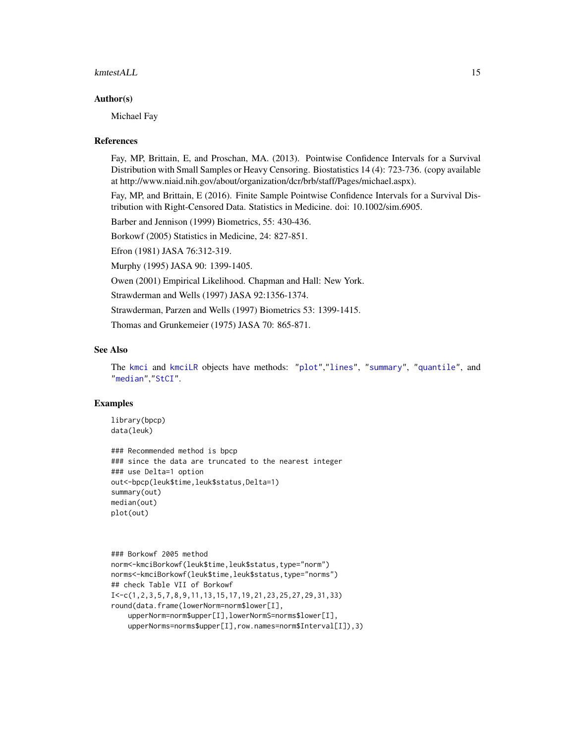#### <span id="page-14-0"></span>kmtestALL 15

#### Author(s)

Michael Fay

#### References

Fay, MP, Brittain, E, and Proschan, MA. (2013). Pointwise Confidence Intervals for a Survival Distribution with Small Samples or Heavy Censoring. Biostatistics 14 (4): 723-736. (copy available at http://www.niaid.nih.gov/about/organization/dcr/brb/staff/Pages/michael.aspx).

Fay, MP, and Brittain, E (2016). Finite Sample Pointwise Confidence Intervals for a Survival Distribution with Right-Censored Data. Statistics in Medicine. doi: 10.1002/sim.6905.

Barber and Jennison (1999) Biometrics, 55: 430-436.

Borkowf (2005) Statistics in Medicine, 24: 827-851.

Efron (1981) JASA 76:312-319.

Murphy (1995) JASA 90: 1399-1405.

Owen (2001) Empirical Likelihood. Chapman and Hall: New York.

Strawderman and Wells (1997) JASA 92:1356-1374.

Strawderman, Parzen and Wells (1997) Biometrics 53: 1399-1415.

Thomas and Grunkemeier (1975) JASA 70: 865-871.

#### See Also

The [kmci](#page-9-1) and [kmciLR](#page-10-1) objects have methods: ["plot"](#page-18-1),["lines"](#page-18-1), ["summary"](#page-23-1), ["quantile"](#page-19-1), and ["median"](#page-19-1),["StCI"](#page-21-1).

#### Examples

```
library(bpcp)
data(leuk)
```

```
### Recommended method is bpcp
### since the data are truncated to the nearest integer
### use Delta=1 option
out<-bpcp(leuk$time,leuk$status,Delta=1)
summary(out)
median(out)
plot(out)
```

```
### Borkowf 2005 method
norm<-kmciBorkowf(leuk$time,leuk$status,type="norm")
norms<-kmciBorkowf(leuk$time,leuk$status,type="norms")
## check Table VII of Borkowf
I<-c(1,2,3,5,7,8,9,11,13,15,17,19,21,23,25,27,29,31,33)
round(data.frame(lowerNorm=norm$lower[I],
    upperNorm=norm$upper[I],lowerNormS=norms$lower[I],
    upperNorms=norms$upper[I],row.names=norm$Interval[I]),3)
```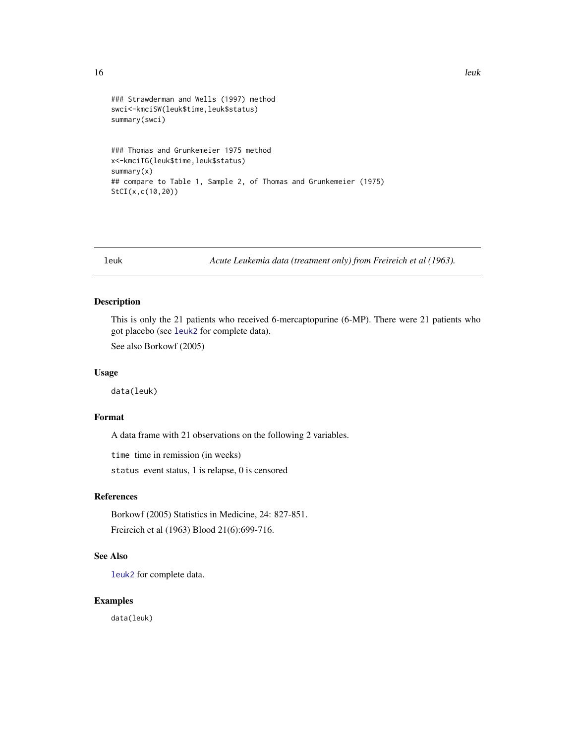```
16 leuk
```

```
### Strawderman and Wells (1997) method
swci<-kmciSW(leuk$time,leuk$status)
summary(swci)
### Thomas and Grunkemeier 1975 method
x<-kmciTG(leuk$time,leuk$status)
summary(x)
## compare to Table 1, Sample 2, of Thomas and Grunkemeier (1975)
StCI(x,c(10,20))
```
<span id="page-15-1"></span>

leuk *Acute Leukemia data (treatment only) from Freireich et al (1963).*

#### Description

This is only the 21 patients who received 6-mercaptopurine (6-MP). There were 21 patients who got placebo (see [leuk2](#page-16-1) for complete data).

See also Borkowf (2005)

# Usage

data(leuk)

#### Format

A data frame with 21 observations on the following 2 variables.

time time in remission (in weeks)

status event status, 1 is relapse, 0 is censored

# References

Borkowf (2005) Statistics in Medicine, 24: 827-851. Freireich et al (1963) Blood 21(6):699-716.

# See Also

[leuk2](#page-16-1) for complete data.

# Examples

data(leuk)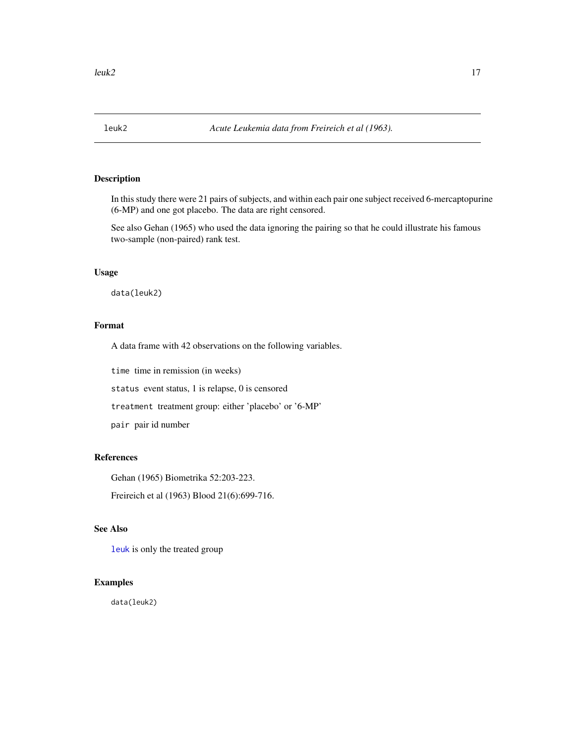<span id="page-16-1"></span><span id="page-16-0"></span>

In this study there were 21 pairs of subjects, and within each pair one subject received 6-mercaptopurine (6-MP) and one got placebo. The data are right censored.

See also Gehan (1965) who used the data ignoring the pairing so that he could illustrate his famous two-sample (non-paired) rank test.

#### Usage

data(leuk2)

# Format

A data frame with 42 observations on the following variables.

time time in remission (in weeks)

status event status, 1 is relapse, 0 is censored

treatment treatment group: either 'placebo' or '6-MP'

pair pair id number

# References

Gehan (1965) Biometrika 52:203-223.

Freireich et al (1963) Blood 21(6):699-716.

# See Also

[leuk](#page-15-1) is only the treated group

#### Examples

data(leuk2)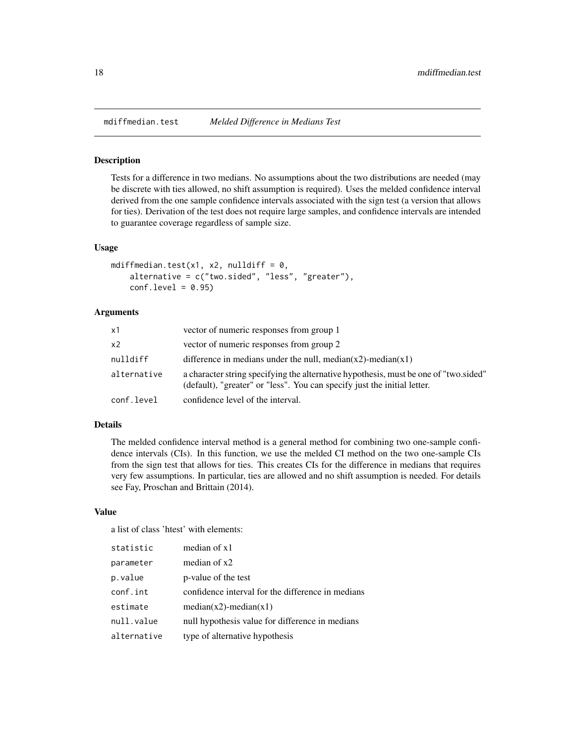<span id="page-17-1"></span><span id="page-17-0"></span>

Tests for a difference in two medians. No assumptions about the two distributions are needed (may be discrete with ties allowed, no shift assumption is required). Uses the melded confidence interval derived from the one sample confidence intervals associated with the sign test (a version that allows for ties). Derivation of the test does not require large samples, and confidence intervals are intended to guarantee coverage regardless of sample size.

# Usage

```
mdiffmedian.test(x1, x2, nulldiff = 0,
    alternative = c("two.sided", "less", "greater"),
    conf<math>level = 0.95
```
#### Arguments

| x1          | vector of numeric responses from group 1                                                                                                                         |
|-------------|------------------------------------------------------------------------------------------------------------------------------------------------------------------|
| x2          | vector of numeric responses from group 2                                                                                                                         |
| nulldiff    | difference in medians under the null, median( $x2$ )-median( $x1$ )                                                                                              |
| alternative | a character string specifying the alternative hypothesis, must be one of "two sided"<br>(default), "greater" or "less". You can specify just the initial letter. |
| conf.level  | confidence level of the interval.                                                                                                                                |

# Details

The melded confidence interval method is a general method for combining two one-sample confidence intervals (CIs). In this function, we use the melded CI method on the two one-sample CIs from the sign test that allows for ties. This creates CIs for the difference in medians that requires very few assumptions. In particular, ties are allowed and no shift assumption is needed. For details see Fay, Proschan and Brittain (2014).

#### Value

a list of class 'htest' with elements:

| statistic   | median of $x1$                                    |
|-------------|---------------------------------------------------|
| parameter   | median of $x2$                                    |
| p.value     | p-value of the test                               |
| conf.int    | confidence interval for the difference in medians |
| estimate    | $median(x2)$ -median(x1)                          |
| null.value  | null hypothesis value for difference in medians   |
| alternative | type of alternative hypothesis                    |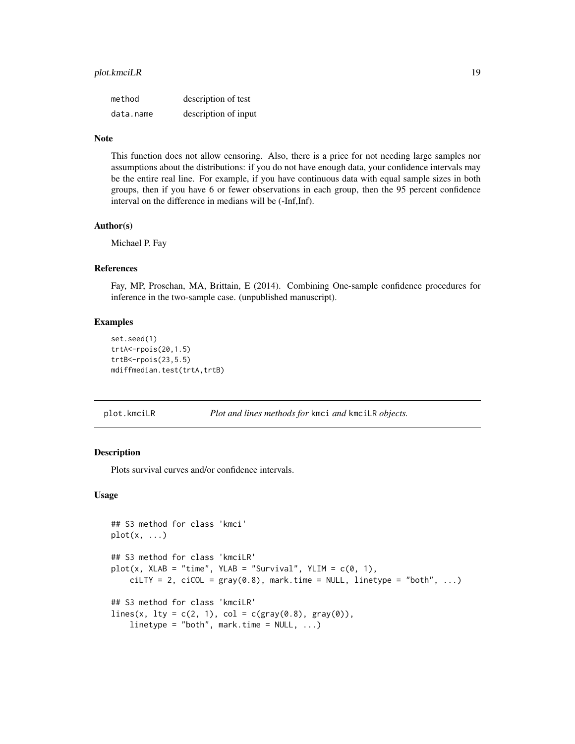# <span id="page-18-0"></span>plot.kmciLR 19

| method    | description of test  |
|-----------|----------------------|
| data.name | description of input |

#### Note

This function does not allow censoring. Also, there is a price for not needing large samples nor assumptions about the distributions: if you do not have enough data, your confidence intervals may be the entire real line. For example, if you have continuous data with equal sample sizes in both groups, then if you have 6 or fewer observations in each group, then the 95 percent confidence interval on the difference in medians will be (-Inf,Inf).

#### Author(s)

Michael P. Fay

# References

Fay, MP, Proschan, MA, Brittain, E (2014). Combining One-sample confidence procedures for inference in the two-sample case. (unpublished manuscript).

#### Examples

```
set.seed(1)
trtA<-rpois(20,1.5)
trtB < -rpois(23, 5.5)mdiffmedian.test(trtA,trtB)
```
plot.kmciLR *Plot and lines methods for* kmci *and* kmciLR *objects.*

#### <span id="page-18-1"></span>Description

Plots survival curves and/or confidence intervals.

#### Usage

```
## S3 method for class 'kmci'
plot(x, \ldots)## S3 method for class 'kmciLR'
plot(x, XLAB = "time", YLAB = "Survival", YLIM = c(0, 1),cilTY = 2, ciCOL = gray(0.8), mark.time = NULL, linetype = "both", ...)
## S3 method for class 'kmciLR'
lines(x, 1ty = c(2, 1), col = c(gray(0.8), gray(0)),linetype = "both", mark.time = NULL, ...)
```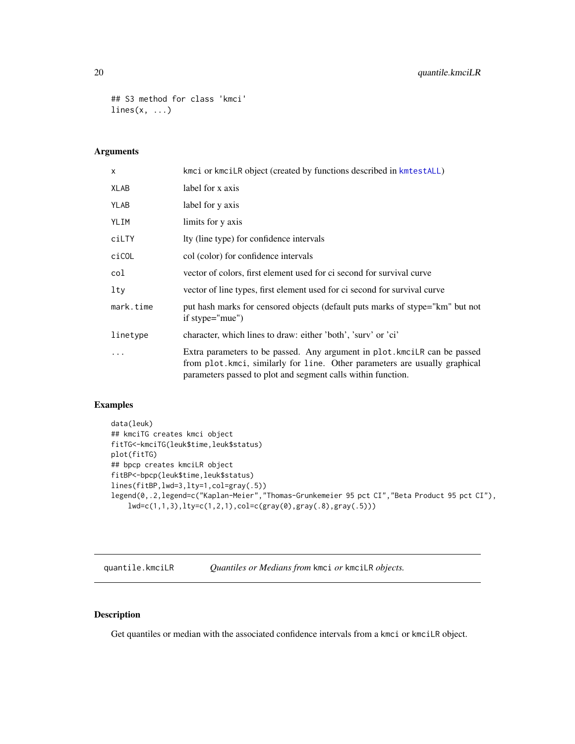# <span id="page-19-0"></span>20 quantile.kmciLR

```
## S3 method for class 'kmci'
lines(x, \ldots)
```
# Arguments

| $\mathsf{x}$ | kmci or kmciLR object (created by functions described in kmtestALL)                                                                                                                                                      |
|--------------|--------------------------------------------------------------------------------------------------------------------------------------------------------------------------------------------------------------------------|
| XLAB         | label for x axis                                                                                                                                                                                                         |
| YLAB         | label for y axis                                                                                                                                                                                                         |
| YLIM         | limits for y axis                                                                                                                                                                                                        |
| ciLTY        | Ity (line type) for confidence intervals                                                                                                                                                                                 |
| ciCOL        | col (color) for confidence intervals                                                                                                                                                                                     |
| col          | vector of colors, first element used for ci second for survival curve                                                                                                                                                    |
| lty          | vector of line types, first element used for ci second for survival curve                                                                                                                                                |
| mark.time    | put hash marks for censored objects (default puts marks of stype="km" but not<br>if stype="mue")                                                                                                                         |
| linetype     | character, which lines to draw: either 'both', 'surv' or 'ci'                                                                                                                                                            |
|              | Extra parameters to be passed. Any argument in plot. kmcilR can be passed<br>from plot. kmci, similarly for line. Other parameters are usually graphical<br>parameters passed to plot and segment calls within function. |

# Examples

```
data(leuk)
## kmciTG creates kmci object
fitTG<-kmciTG(leuk$time,leuk$status)
plot(fitTG)
## bpcp creates kmciLR object
fitBP<-bpcp(leuk$time,leuk$status)
lines(fitBP,lwd=3,lty=1,col=gray(.5))
legend(0,.2,legend=c("Kaplan-Meier","Thomas-Grunkemeier 95 pct CI","Beta Product 95 pct CI"),
    lwd=c(1,1,3),lty=c(1,2,1),col=c(gray(0),gray(.8),gray(.5)))
```
quantile.kmciLR *Quantiles or Medians from* kmci *or* kmciLR *objects.*

# <span id="page-19-1"></span>Description

Get quantiles or median with the associated confidence intervals from a kmci or kmciLR object.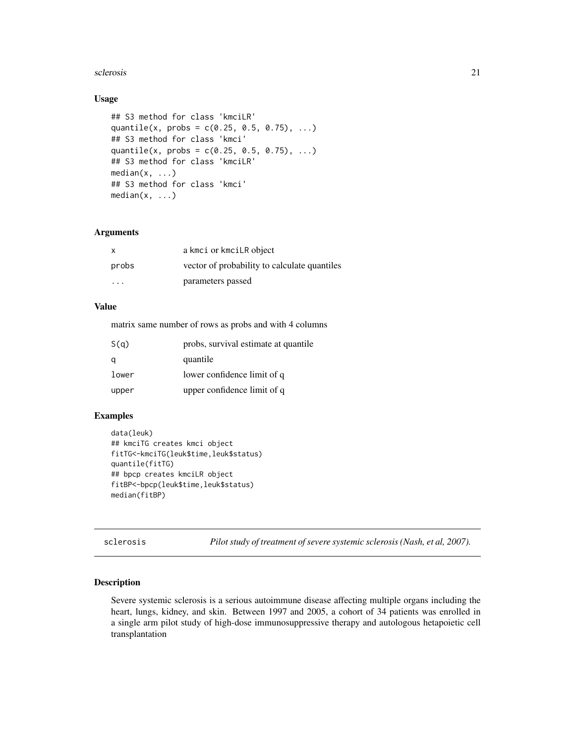#### <span id="page-20-0"></span>sclerosis 21

# Usage

```
## S3 method for class 'kmciLR'
quantile(x, probs = c(0.25, 0.5, 0.75), ...)
## S3 method for class 'kmci'
quantile(x, probs = c(0.25, 0.5, 0.75), ...)
## S3 method for class 'kmciLR'
median(x, \ldots)## S3 method for class 'kmci'
median(x, \ldots)
```
#### Arguments

| X                       | a kmci or kmcil R object                     |
|-------------------------|----------------------------------------------|
| probs                   | vector of probability to calculate quantiles |
| $\cdot$ $\cdot$ $\cdot$ | parameters passed                            |

# Value

matrix same number of rows as probs and with 4 columns

| S(q)  | probs, survival estimate at quantile |
|-------|--------------------------------------|
| a     | quantile                             |
| lower | lower confidence limit of q          |
| upper | upper confidence limit of q          |

#### Examples

```
data(leuk)
## kmciTG creates kmci object
fitTG<-kmciTG(leuk$time,leuk$status)
quantile(fitTG)
## bpcp creates kmciLR object
fitBP<-bpcp(leuk$time,leuk$status)
median(fitBP)
```
sclerosis *Pilot study of treatment of severe systemic sclerosis (Nash, et al, 2007).*

#### Description

Severe systemic sclerosis is a serious autoimmune disease affecting multiple organs including the heart, lungs, kidney, and skin. Between 1997 and 2005, a cohort of 34 patients was enrolled in a single arm pilot study of high-dose immunosuppressive therapy and autologous hetapoietic cell transplantation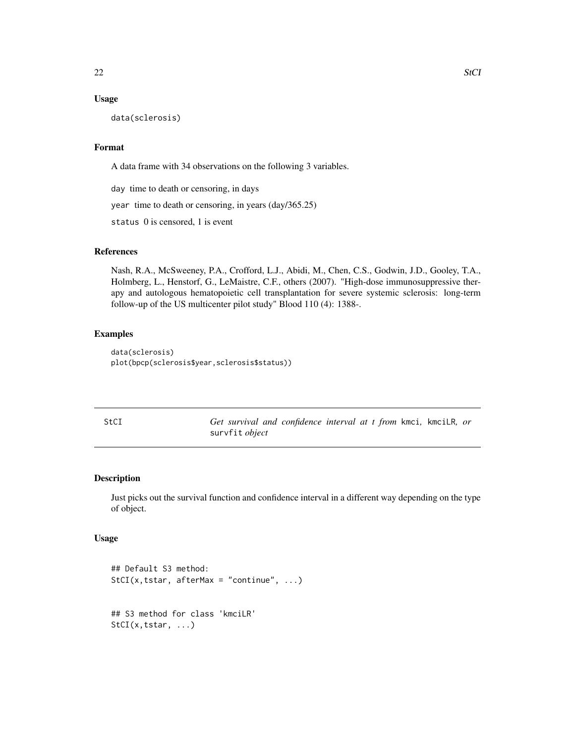# <span id="page-21-0"></span>Usage

data(sclerosis)

# Format

A data frame with 34 observations on the following 3 variables.

day time to death or censoring, in days

year time to death or censoring, in years (day/365.25)

status 0 is censored, 1 is event

#### References

Nash, R.A., McSweeney, P.A., Crofford, L.J., Abidi, M., Chen, C.S., Godwin, J.D., Gooley, T.A., Holmberg, L., Henstorf, G., LeMaistre, C.F., others (2007). "High-dose immunosuppressive therapy and autologous hematopoietic cell transplantation for severe systemic sclerosis: long-term follow-up of the US multicenter pilot study" Blood 110 (4): 1388-.

# Examples

```
data(sclerosis)
plot(bpcp(sclerosis$year,sclerosis$status))
```

| StCI | Get survival and confidence interval at t from kmci, kmcilR, or |  |  |  |  |
|------|-----------------------------------------------------------------|--|--|--|--|
|      | survfit <i>object</i>                                           |  |  |  |  |

# <span id="page-21-1"></span>Description

Just picks out the survival function and confidence interval in a different way depending on the type of object.

#### Usage

```
## Default S3 method:
StCI(x, tstar, afterMax = "continue", ...)## S3 method for class 'kmciLR'
StCI(x,tstar, ...)
```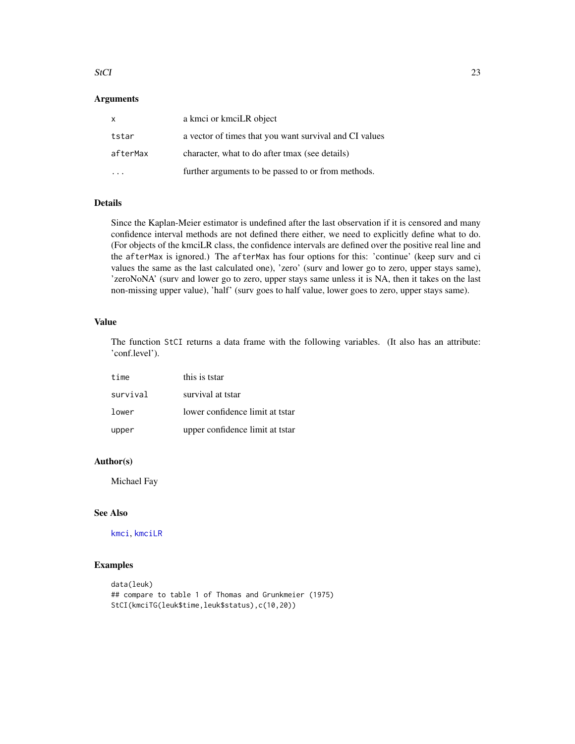#### <span id="page-22-0"></span>StCI 23

# **Arguments**

| X        | a kmci or kmciLR object                                |
|----------|--------------------------------------------------------|
| tstar    | a vector of times that you want survival and CI values |
| afterMax | character, what to do after tmax (see details)         |
|          | further arguments to be passed to or from methods.     |

# Details

Since the Kaplan-Meier estimator is undefined after the last observation if it is censored and many confidence interval methods are not defined there either, we need to explicitly define what to do. (For objects of the kmciLR class, the confidence intervals are defined over the positive real line and the afterMax is ignored.) The afterMax has four options for this: 'continue' (keep surv and ci values the same as the last calculated one), 'zero' (surv and lower go to zero, upper stays same), 'zeroNoNA' (surv and lower go to zero, upper stays same unless it is NA, then it takes on the last non-missing upper value), 'half' (surv goes to half value, lower goes to zero, upper stays same).

#### Value

The function StCI returns a data frame with the following variables. (It also has an attribute: 'conf.level').

| time     | this is tstar                   |
|----------|---------------------------------|
| survival | survival at tstar               |
| lower    | lower confidence limit at tstar |
| upper    | upper confidence limit at tstar |

#### Author(s)

Michael Fay

#### See Also

[kmci](#page-9-1), [kmciLR](#page-10-1)

#### Examples

```
data(leuk)
## compare to table 1 of Thomas and Grunkmeier (1975)
StCI(kmciTG(leuk$time,leuk$status),c(10,20))
```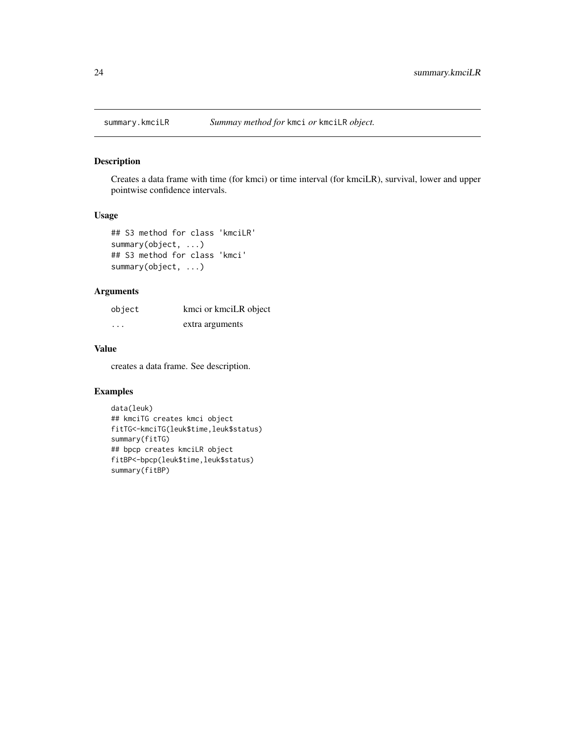<span id="page-23-1"></span><span id="page-23-0"></span>

Creates a data frame with time (for kmci) or time interval (for kmciLR), survival, lower and upper pointwise confidence intervals.

#### Usage

```
## S3 method for class 'kmciLR'
summary(object, ...)
## S3 method for class 'kmci'
summary(object, ...)
```
# Arguments

| object | kmci or kmciLR object |
|--------|-----------------------|
| .      | extra arguments       |

# Value

creates a data frame. See description.

#### Examples

```
data(leuk)
## kmciTG creates kmci object
fitTG<-kmciTG(leuk$time,leuk$status)
summary(fitTG)
## bpcp creates kmciLR object
fitBP<-bpcp(leuk$time,leuk$status)
summary(fitBP)
```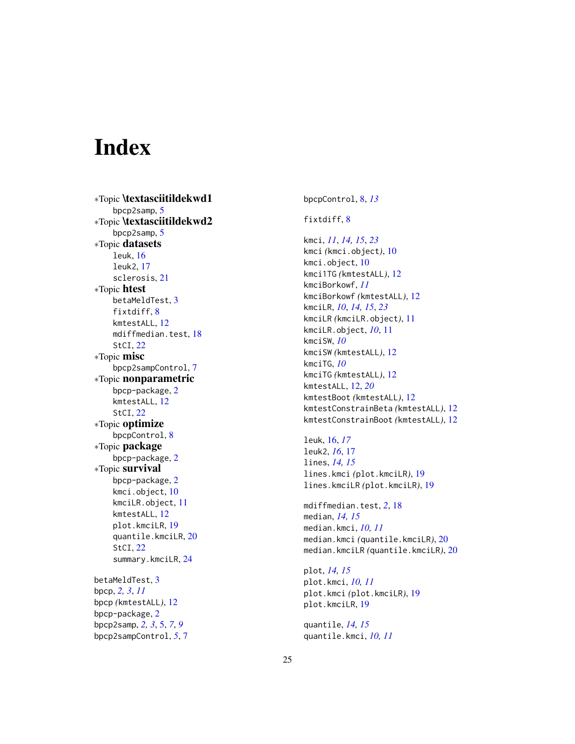# <span id="page-24-0"></span>**Index**

∗Topic \textasciitildekwd1 bpcp2samp, [5](#page-4-0) ∗Topic \textasciitildekwd2 bpcp2samp, [5](#page-4-0) ∗Topic datasets leuk , [16](#page-15-0) leuk2 , [17](#page-16-0) sclerosis , [21](#page-20-0) ∗Topic htest betaMeldTest, [3](#page-2-0) fixtdiff, [8](#page-7-0) kmtestALL , [12](#page-11-0) mdiffmedian.test , [18](#page-17-0) StCI , [22](#page-21-0) ∗Topic misc bpcp2sampControl , [7](#page-6-0) ∗Topic nonparametric bpcp-package , [2](#page-1-0) kmtestALL , [12](#page-11-0) StCI , [22](#page-21-0) ∗Topic optimize bpcpControl, [8](#page-7-0) ∗Topic package bpcp-package , [2](#page-1-0) ∗Topic survival bpcp-package , [2](#page-1-0) kmci.object , [10](#page-9-0) kmciLR.object , [11](#page-10-0) kmtestALL , [12](#page-11-0) plot.kmciLR , [19](#page-18-0) quantile.kmciLR , [20](#page-19-0) StCI , [22](#page-21-0) summary.kmciLR , [24](#page-23-0) betaMeldTest , [3](#page-2-0) bpcp , *[2](#page-1-0) , [3](#page-2-0)* , *[11](#page-10-0)* bpcp *(*kmtestALL *)* , [12](#page-11-0) bpcp-package , [2](#page-1-0) bpcp2samp , *[2](#page-1-0) , [3](#page-2-0)* , [5](#page-4-0) , *[7](#page-6-0)* , *[9](#page-8-0)* bpcp2sampControl , *[5](#page-4-0)* , [7](#page-6-0)

bpcpControl , [8](#page-7-0) , *[13](#page-12-0)*

#### fixtdiff, [8](#page-7-0)

kmci , *[11](#page-10-0)* , *[14](#page-13-0) , [15](#page-14-0)* , *[23](#page-22-0)* kmci *(*kmci.object *)* , [10](#page-9-0) kmci.object, [10](#page-9-0) kmci1TG *(*kmtestALL *)* , [12](#page-11-0) kmciBorkowf , *[11](#page-10-0)* kmciBorkowf *(*kmtestALL *)* , [12](#page-11-0) kmciLR , *[10](#page-9-0)* , *[14](#page-13-0) , [15](#page-14-0)* , *[23](#page-22-0)* kmciLR *(*kmciLR.object *)* , [11](#page-10-0) kmciLR.object , *[10](#page-9-0)* , [11](#page-10-0) kmciSW , *[10](#page-9-0)* kmciSW *(*kmtestALL *)* , [12](#page-11-0) kmciTG , *[10](#page-9-0)* kmciTG *(*kmtestALL *)* , [12](#page-11-0) kmtestALL , [12](#page-11-0) , *[20](#page-19-0)* kmtestBoot *(*kmtestALL *)* , [12](#page-11-0) kmtestConstrainBeta *(*kmtestALL *)* , [12](#page-11-0) kmtestConstrainBoot *(*kmtestALL *)* , [12](#page-11-0)

leuk , [16](#page-15-0) , *[17](#page-16-0)* leuk2 , *[16](#page-15-0)* , [17](#page-16-0) lines , *[14](#page-13-0) , [15](#page-14-0)* lines.kmci *(*plot.kmciLR *)* , [19](#page-18-0) lines.kmciLR *(*plot.kmciLR *)* , [19](#page-18-0)

mdiffmedian.test , *[2](#page-1-0)* , [18](#page-17-0) median , *[14](#page-13-0) , [15](#page-14-0)* median.kmci , *[10](#page-9-0) , [11](#page-10-0)* median.kmci *(*quantile.kmciLR *)* , [20](#page-19-0) median.kmciLR *(*quantile.kmciLR *)* , [20](#page-19-0)

plot , *[14](#page-13-0) , [15](#page-14-0)* plot.kmci , *[10](#page-9-0) , [11](#page-10-0)* plot.kmci *(*plot.kmciLR *)* , [19](#page-18-0) plot.kmciLR , [19](#page-18-0)

quantile , *[14](#page-13-0) , [15](#page-14-0)* quantile.kmci , *[10](#page-9-0) , [11](#page-10-0)*